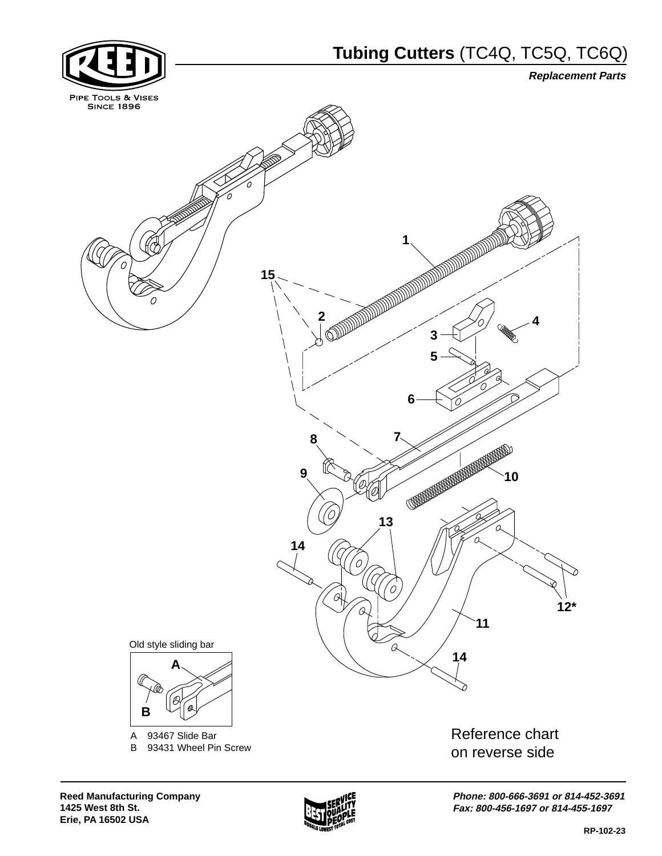



**Phone: 800-666-3691 or 814-452-3691 Fax: 800-456-1697 or 814-455-1697**